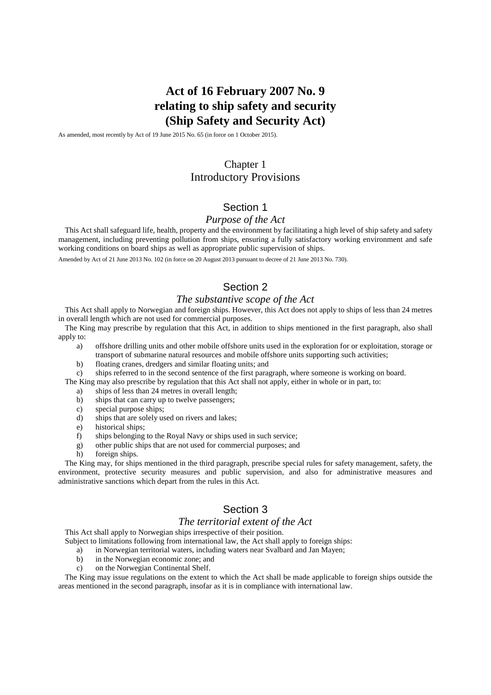# **Act of 16 February 2007 No. 9 relating to ship safety and security (Ship Safety and Security Act)**

As amended, most recently by Act of 19 June 2015 No. 65 (in force on 1 October 2015).

# Chapter 1 Introductory Provisions

# Section 1

#### *Purpose of the Act*

This Act shall safeguard life, health, property and the environment by facilitating a high level of ship safety and safety management, including preventing pollution from ships, ensuring a fully satisfactory working environment and safe working conditions on board ships as well as appropriate public supervision of ships.

Amended by Act of 21 June 2013 No. 102 (in force on 20 August 2013 pursuant to decree of 21 June 2013 No. 730).

# Section 2

#### *The substantive scope of the Act*

This Act shall apply to Norwegian and foreign ships. However, this Act does not apply to ships of less than 24 metres in overall length which are not used for commercial purposes.

The King may prescribe by regulation that this Act, in addition to ships mentioned in the first paragraph, also shall apply to:

- a) offshore drilling units and other mobile offshore units used in the exploration for or exploitation, storage or transport of submarine natural resources and mobile offshore units supporting such activities;
- b) floating cranes, dredgers and similar floating units; and
- c) ships referred to in the second sentence of the first paragraph, where someone is working on board.

The King may also prescribe by regulation that this Act shall not apply, either in whole or in part, to:

- a) ships of less than 24 metres in overall length;
- b) ships that can carry up to twelve passengers;
- c) special purpose ships;
- d) ships that are solely used on rivers and lakes;
- e) historical ships;
- f) ships belonging to the Royal Navy or ships used in such service;
- g) other public ships that are not used for commercial purposes; and
- h) foreign ships.

The King may, for ships mentioned in the third paragraph, prescribe special rules for safety management, safety, the environment, protective security measures and public supervision, and also for administrative measures and administrative sanctions which depart from the rules in this Act.

### Section 3

#### *The territorial extent of the Act*

This Act shall apply to Norwegian ships irrespective of their position.

Subject to limitations following from international law, the Act shall apply to foreign ships:

- a) in Norwegian territorial waters, including waters near Svalbard and Jan Mayen;
- b) in the Norwegian economic zone; and
- c) on the Norwegian Continental Shelf.

The King may issue regulations on the extent to which the Act shall be made applicable to foreign ships outside the areas mentioned in the second paragraph, insofar as it is in compliance with international law.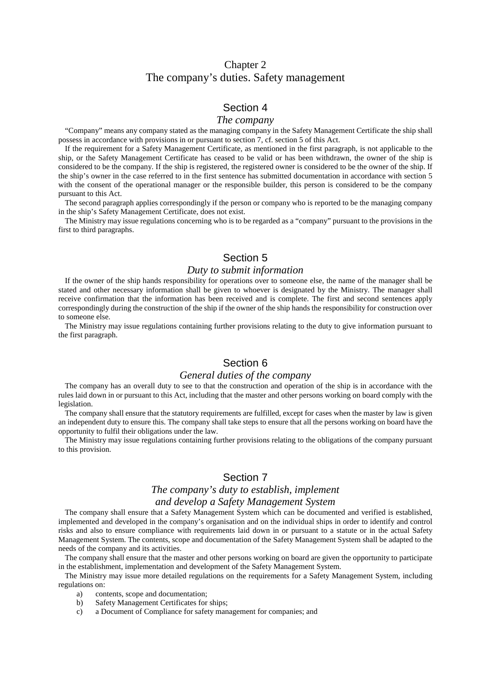# Chapter 2 The company's duties. Safety management

### Section 4

#### *The company*

"Company" means any company stated as the managing company in the Safety Management Certificate the ship shall possess in accordance with provisions in or pursuant to section 7, cf. section 5 of this Act.

If the requirement for a Safety Management Certificate, as mentioned in the first paragraph, is not applicable to the ship, or the Safety Management Certificate has ceased to be valid or has been withdrawn, the owner of the ship is considered to be the company. If the ship is registered, the registered owner is considered to be the owner of the ship. If the ship's owner in the case referred to in the first sentence has submitted documentation in accordance with section 5 with the consent of the operational manager or the responsible builder, this person is considered to be the company pursuant to this Act.

The second paragraph applies correspondingly if the person or company who is reported to be the managing company in the ship's Safety Management Certificate, does not exist.

The Ministry may issue regulations concerning who is to be regarded as a "company" pursuant to the provisions in the first to third paragraphs.

### Section 5

#### *Duty to submit information*

If the owner of the ship hands responsibility for operations over to someone else, the name of the manager shall be stated and other necessary information shall be given to whoever is designated by the Ministry. The manager shall receive confirmation that the information has been received and is complete. The first and second sentences apply correspondingly during the construction of the ship if the owner of the ship hands the responsibility for construction over to someone else.

The Ministry may issue regulations containing further provisions relating to the duty to give information pursuant to the first paragraph.

### Section 6

#### *General duties of the company*

The company has an overall duty to see to that the construction and operation of the ship is in accordance with the rules laid down in or pursuant to this Act, including that the master and other persons working on board comply with the legislation.

The company shall ensure that the statutory requirements are fulfilled, except for cases when the master by law is given an independent duty to ensure this. The company shall take steps to ensure that all the persons working on board have the opportunity to fulfil their obligations under the law.

The Ministry may issue regulations containing further provisions relating to the obligations of the company pursuant to this provision.

### Section 7

#### *The company's duty to establish, implement*

#### *and develop a Safety Management System*

The company shall ensure that a Safety Management System which can be documented and verified is established, implemented and developed in the company's organisation and on the individual ships in order to identify and control risks and also to ensure compliance with requirements laid down in or pursuant to a statute or in the actual Safety Management System. The contents, scope and documentation of the Safety Management System shall be adapted to the needs of the company and its activities.

The company shall ensure that the master and other persons working on board are given the opportunity to participate in the establishment, implementation and development of the Safety Management System.

The Ministry may issue more detailed regulations on the requirements for a Safety Management System, including regulations on:

- a) contents, scope and documentation;
- b) Safety Management Certificates for ships;
- c) a Document of Compliance for safety management for companies; and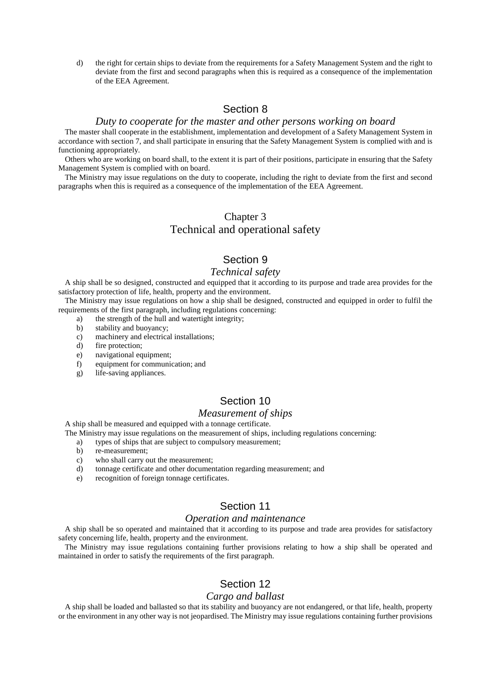d) the right for certain ships to deviate from the requirements for a Safety Management System and the right to deviate from the first and second paragraphs when this is required as a consequence of the implementation of the EEA Agreement.

### Section 8

#### *Duty to cooperate for the master and other persons working on board*

The master shall cooperate in the establishment, implementation and development of a Safety Management System in accordance with section 7, and shall participate in ensuring that the Safety Management System is complied with and is functioning appropriately.

Others who are working on board shall, to the extent it is part of their positions, participate in ensuring that the Safety Management System is complied with on board.

The Ministry may issue regulations on the duty to cooperate, including the right to deviate from the first and second paragraphs when this is required as a consequence of the implementation of the EEA Agreement.

# Chapter 3 Technical and operational safety

# Section 9

#### *Technical safety*

A ship shall be so designed, constructed and equipped that it according to its purpose and trade area provides for the satisfactory protection of life, health, property and the environment.

The Ministry may issue regulations on how a ship shall be designed, constructed and equipped in order to fulfil the requirements of the first paragraph, including regulations concerning:

- a) the strength of the hull and watertight integrity;
- b) stability and buoyancy;
- c) machinery and electrical installations;
- d) fire protection;
- e) navigational equipment;
- f) equipment for communication; and
- g) life-saving appliances.

### Section 10

#### *Measurement of ships*

A ship shall be measured and equipped with a tonnage certificate.

The Ministry may issue regulations on the measurement of ships, including regulations concerning:

a) types of ships that are subject to compulsory measurement;

- b) re-measurement;
- c) who shall carry out the measurement;
- d) tonnage certificate and other documentation regarding measurement; and
- e) recognition of foreign tonnage certificates.

# Section 11

#### *Operation and maintenance*

A ship shall be so operated and maintained that it according to its purpose and trade area provides for satisfactory safety concerning life, health, property and the environment.

The Ministry may issue regulations containing further provisions relating to how a ship shall be operated and maintained in order to satisfy the requirements of the first paragraph.

# Section 12

#### *Cargo and ballast*

A ship shall be loaded and ballasted so that its stability and buoyancy are not endangered, or that life, health, property or the environment in any other way is not jeopardised. The Ministry may issue regulations containing further provisions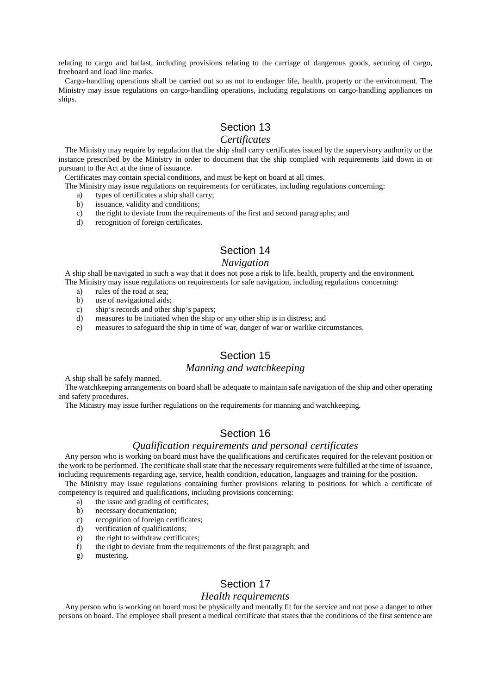relating to cargo and ballast, including provisions relating to the carriage of dangerous goods*,* securing of cargo, freeboard and load line marks.

Cargo-handling operations shall be carried out so as not to endanger life, health, property or the environment. The Ministry may issue regulations on cargo-handling operations, including regulations on cargo-handling appliances on ships.

# Section 13

### *Certificates*

The Ministry may require by regulation that the ship shall carry certificates issued by the supervisory authority or the instance prescribed by the Ministry in order to document that the ship complied with requirements laid down in or pursuant to the Act at the time of issuance.

Certificates may contain special conditions, and must be kept on board at all times.

The Ministry may issue regulations on requirements for certificates, including regulations concerning:

- a) types of certificates a ship shall carry;
- b) issuance, validity and conditions;
- c) the right to deviate from the requirements of the first and second paragraphs; and
- d) recognition of foreign certificates.

# Section 14

#### *Navigation*

A ship shall be navigated in such a way that it does not pose a risk to life, health, property and the environment. The Ministry may issue regulations on requirements for safe navigation, including regulations concerning:

- a) rules of the road at sea;
- b) use of navigational aids;
- c) ship's records and other ship's papers;
- d) measures to be initiated when the ship or any other ship is in distress; and
- e) measures to safeguard the ship in time of war, danger of war or warlike circumstances.

# Section 15

#### *Manning and watchkeeping*

A ship shall be safely manned.

The watchkeeping arrangements on board shall be adequate to maintain safe navigation of the ship and other operating and safety procedures.

The Ministry may issue further regulations on the requirements for manning and watchkeeping.

# Section 16

### *Qualification requirements and personal certificates*

Any person who is working on board must have the qualifications and certificates required for the relevant position or the work to be performed. The certificate shall state that the necessary requirements were fulfilled at the time of issuance, including requirements regarding age, service, health condition, education, languages and training for the position.

The Ministry may issue regulations containing further provisions relating to positions for which a certificate of competency is required and qualifications, including provisions concerning:

- a) the issue and grading of certificates;
- b) necessary documentation;
- c) recognition of foreign certificates;
- d) verification of qualifications;
- e) the right to withdraw certificates;
- f) the right to deviate from the requirements of the first paragraph; and
- g) mustering.

# Section 17

#### *Health requirements*

Any person who is working on board must be physically and mentally fit for the service and not pose a danger to other persons on board. The employee shall present a medical certificate that states that the conditions of the first sentence are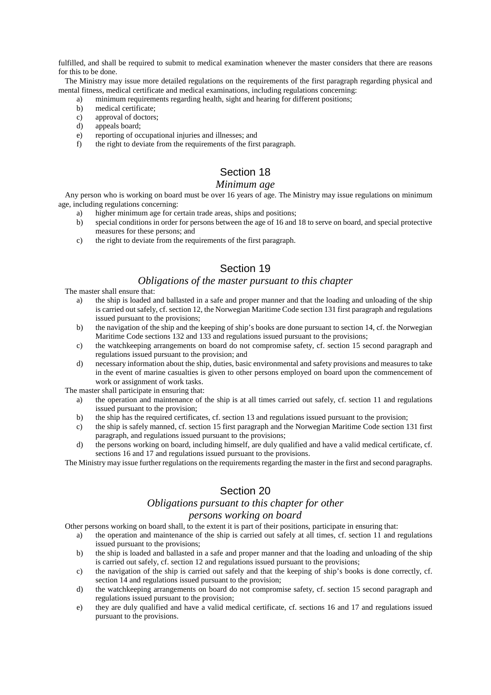fulfilled, and shall be required to submit to medical examination whenever the master considers that there are reasons for this to be done.

The Ministry may issue more detailed regulations on the requirements of the first paragraph regarding physical and mental fitness, medical certificate and medical examinations, including regulations concerning:

- a) minimum requirements regarding health, sight and hearing for different positions;
- b) medical certificate;
- c) approval of doctors;
- d) appeals board;
- e) reporting of occupational injuries and illnesses; and
- f) the right to deviate from the requirements of the first paragraph.

# Section 18

#### *Minimum age*

Any person who is working on board must be over 16 years of age. The Ministry may issue regulations on minimum age, including regulations concerning:

- a) higher minimum age for certain trade areas, ships and positions;
- b) special conditions in order for persons between the age of 16 and 18 to serve on board, and special protective measures for these persons; and
- c) the right to deviate from the requirements of the first paragraph.

# Section 19

### *Obligations of the master pursuant to this chapter*

The master shall ensure that:

- a) the ship is loaded and ballasted in a safe and proper manner and that the loading and unloading of the ship is carried out safely, cf. section 12, the Norwegian Maritime Code section 131 first paragraph and regulations issued pursuant to the provisions;
- b) the navigation of the ship and the keeping of ship's books are done pursuant to section 14, cf. the Norwegian Maritime Code sections 132 and 133 and regulations issued pursuant to the provisions;
- c) the watchkeeping arrangements on board do not compromise safety, cf. section 15 second paragraph and regulations issued pursuant to the provision; and
- d) necessary information about the ship, duties, basic environmental and safety provisions and measures to take in the event of marine casualties is given to other persons employed on board upon the commencement of work or assignment of work tasks.

The master shall participate in ensuring that:

- a) the operation and maintenance of the ship is at all times carried out safely, cf. section 11 and regulations issued pursuant to the provision;
- b) the ship has the required certificates, cf. section 13 and regulations issued pursuant to the provision;
- c) the ship is safely manned, cf. section 15 first paragraph and the Norwegian Maritime Code section 131 first paragraph, and regulations issued pursuant to the provisions;
- d) the persons working on board, including himself, are duly qualified and have a valid medical certificate, cf. sections 16 and 17 and regulations issued pursuant to the provisions.

The Ministry may issue further regulations on the requirements regarding the master in the first and second paragraphs.

# Section 20

### *Obligations pursuant to this chapter for other*

### *persons working on board*

Other persons working on board shall, to the extent it is part of their positions, participate in ensuring that:

- a) the operation and maintenance of the ship is carried out safely at all times, cf. section 11 and regulations issued pursuant to the provisions;
- b) the ship is loaded and ballasted in a safe and proper manner and that the loading and unloading of the ship is carried out safely, cf. section 12 and regulations issued pursuant to the provisions;
- c) the navigation of the ship is carried out safely and that the keeping of ship's books is done correctly, cf. section 14 and regulations issued pursuant to the provision;
- d) the watchkeeping arrangements on board do not compromise safety, cf. section 15 second paragraph and regulations issued pursuant to the provision;
- e) they are duly qualified and have a valid medical certificate, cf. sections 16 and 17 and regulations issued pursuant to the provisions.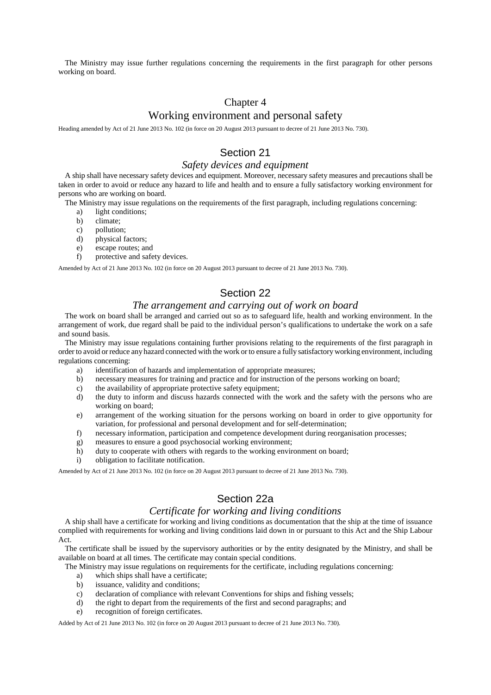The Ministry may issue further regulations concerning the requirements in the first paragraph for other persons working on board.

### Chapter 4

### Working environment and personal safety

Heading amended by Act of 21 June 2013 No. 102 (in force on 20 August 2013 pursuant to decree of 21 June 2013 No. 730).

### Section 21

#### *Safety devices and equipment*

A ship shall have necessary safety devices and equipment. Moreover, necessary safety measures and precautions shall be taken in order to avoid or reduce any hazard to life and health and to ensure a fully satisfactory working environment for persons who are working on board.

The Ministry may issue regulations on the requirements of the first paragraph, including regulations concerning:

- a) light conditions;
- b) climate;
- c) pollution;
- d) physical factors;
- e) escape routes; and
- f) protective and safety devices.

Amended by Act of 21 June 2013 No. 102 (in force on 20 August 2013 pursuant to decree of 21 June 2013 No. 730).

# Section 22

#### *The arrangement and carrying out of work on board*

The work on board shall be arranged and carried out so as to safeguard life, health and working environment. In the arrangement of work, due regard shall be paid to the individual person's qualifications to undertake the work on a safe and sound basis.

The Ministry may issue regulations containing further provisions relating to the requirements of the first paragraph in order to avoid or reduce any hazard connected with the work or to ensure a fully satisfactory working environment, including regulations concerning:

- a) identification of hazards and implementation of appropriate measures;
- b) necessary measures for training and practice and for instruction of the persons working on board;
- c) the availability of appropriate protective safety equipment;
- d) the duty to inform and discuss hazards connected with the work and the safety with the persons who are working on board;
- e) arrangement of the working situation for the persons working on board in order to give opportunity for variation, for professional and personal development and for self-determination;
- f) necessary information, participation and competence development during reorganisation processes;
- g) measures to ensure a good psychosocial working environment;
- h) duty to cooperate with others with regards to the working environment on board;
- i) obligation to facilitate notification.

Amended by Act of 21 June 2013 No. 102 (in force on 20 August 2013 pursuant to decree of 21 June 2013 No. 730).

### Section 22a

### *Certificate for working and living conditions*

A ship shall have a certificate for working and living conditions as documentation that the ship at the time of issuance complied with requirements for working and living conditions laid down in or pursuant to this Act and the Ship Labour Act.

The certificate shall be issued by the supervisory authorities or by the entity designated by the Ministry, and shall be available on board at all times. The certificate may contain special conditions.

The Ministry may issue regulations on requirements for the certificate, including regulations concerning:

- a) which ships shall have a certificate;
- b) issuance, validity and conditions;
- c) declaration of compliance with relevant Conventions for ships and fishing vessels;
- d) the right to depart from the requirements of the first and second paragraphs; and
- e) recognition of foreign certificates.

Added by Act of 21 June 2013 No. 102 (in force on 20 August 2013 pursuant to decree of 21 June 2013 No. 730).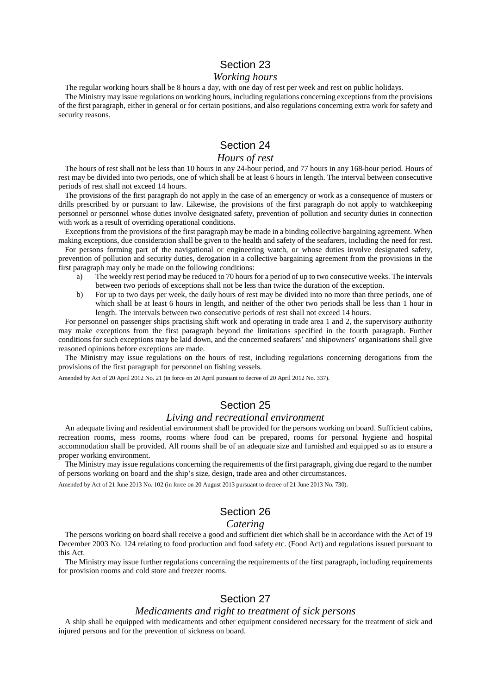#### Section 23

#### *Working hours*

The regular working hours shall be 8 hours a day, with one day of rest per week and rest on public holidays.

The Ministry may issue regulations on working hours, including regulations concerning exceptions from the provisions of the first paragraph, either in general or for certain positions, and also regulations concerning extra work for safety and security reasons.

# Section 24

#### *Hours of rest*

The hours of rest shall not be less than 10 hours in any 24-hour period, and 77 hours in any 168-hour period. Hours of rest may be divided into two periods, one of which shall be at least 6 hours in length. The interval between consecutive periods of rest shall not exceed 14 hours.

The provisions of the first paragraph do not apply in the case of an emergency or work as a consequence of musters or drills prescribed by or pursuant to law. Likewise, the provisions of the first paragraph do not apply to watchkeeping personnel or personnel whose duties involve designated safety, prevention of pollution and security duties in connection with work as a result of overriding operational conditions.

Exceptions from the provisions of the first paragraph may be made in a binding collective bargaining agreement. When making exceptions, due consideration shall be given to the health and safety of the seafarers, including the need for rest.

For persons forming part of the navigational or engineering watch, or whose duties involve designated safety, prevention of pollution and security duties, derogation in a collective bargaining agreement from the provisions in the first paragraph may only be made on the following conditions:

- a) The weekly rest period may be reduced to 70 hours for a period of up to two consecutive weeks. The intervals between two periods of exceptions shall not be less than twice the duration of the exception.
- b) For up to two days per week, the daily hours of rest may be divided into no more than three periods, one of which shall be at least 6 hours in length, and neither of the other two periods shall be less than 1 hour in length. The intervals between two consecutive periods of rest shall not exceed 14 hours.

For personnel on passenger ships practising shift work and operating in trade area 1 and 2, the supervisory authority may make exceptions from the first paragraph beyond the limitations specified in the fourth paragraph. Further conditions for such exceptions may be laid down, and the concerned seafarers' and shipowners' organisations shall give reasoned opinions before exceptions are made.

The Ministry may issue regulations on the hours of rest, including regulations concerning derogations from the provisions of the first paragraph for personnel on fishing vessels.

Amended by Act of 20 April 2012 No. 21 (in force on 20 April pursuant to decree of 20 April 2012 No. 337).

### Section 25

#### *Living and recreational environment*

An adequate living and residential environment shall be provided for the persons working on board. Sufficient cabins, recreation rooms, mess rooms, rooms where food can be prepared, rooms for personal hygiene and hospital accommodation shall be provided. All rooms shall be of an adequate size and furnished and equipped so as to ensure a proper working environment.

The Ministry may issue regulations concerning the requirements of the first paragraph, giving due regard to the number of persons working on board and the ship's size, design, trade area and other circumstances.

Amended by Act of 21 June 2013 No. 102 (in force on 20 August 2013 pursuant to decree of 21 June 2013 No. 730).

### Section 26

#### *Catering*

The persons working on board shall receive a good and sufficient diet which shall be in accordance with the Act of 19 December 2003 No. 124 relating to food production and food safety etc. (Food Act) and regulations issued pursuant to this Act.

The Ministry may issue further regulations concerning the requirements of the first paragraph, including requirements for provision rooms and cold store and freezer rooms.

### Section 27

#### *Medicaments and right to treatment of sick persons*

A ship shall be equipped with medicaments and other equipment considered necessary for the treatment of sick and injured persons and for the prevention of sickness on board.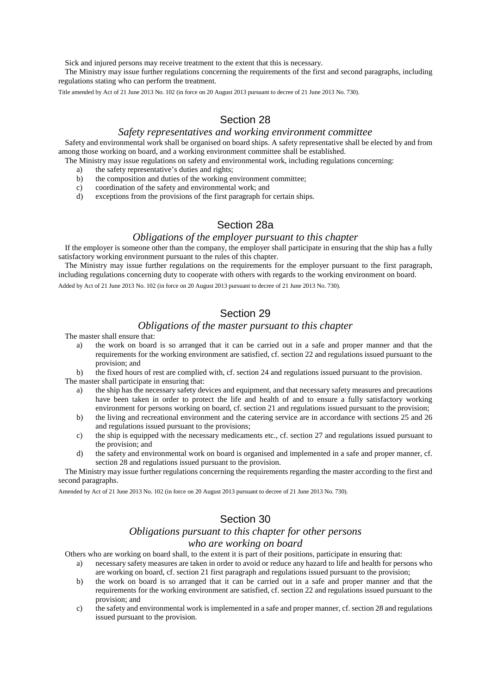Sick and injured persons may receive treatment to the extent that this is necessary.

The Ministry may issue further regulations concerning the requirements of the first and second paragraphs, including regulations stating who can perform the treatment.

Title amended by Act of 21 June 2013 No. 102 (in force on 20 August 2013 pursuant to decree of 21 June 2013 No. 730).

# Section 28

#### *Safety representatives and working environment committee*

Safety and environmental work shall be organised on board ships. A safety representative shall be elected by and from among those working on board, and a working environment committee shall be established.

- The Ministry may issue regulations on safety and environmental work, including regulations concerning:
	- a) the safety representative's duties and rights;
	- b) the composition and duties of the working environment committee;
	- c) coordination of the safety and environmental work; and
	- d) exceptions from the provisions of the first paragraph for certain ships.

### Section 28a

#### *Obligations of the employer pursuant to this chapter*

If the employer is someone other than the company, the employer shall participate in ensuring that the ship has a fully satisfactory working environment pursuant to the rules of this chapter.

The Ministry may issue further regulations on the requirements for the employer pursuant to the first paragraph, including regulations concerning duty to cooperate with others with regards to the working environment on board.

Added by Act of 21 June 2013 No. 102 (in force on 20 August 2013 pursuant to decree of 21 June 2013 No. 730).

# Section 29

### *Obligations of the master pursuant to this chapter*

The master shall ensure that:

a) the work on board is so arranged that it can be carried out in a safe and proper manner and that the requirements for the working environment are satisfied, cf. section 22 and regulations issued pursuant to the provision; and

b) the fixed hours of rest are complied with, cf. section 24 and regulations issued pursuant to the provision. The master shall participate in ensuring that:

- a) the ship has the necessary safety devices and equipment, and that necessary safety measures and precautions have been taken in order to protect the life and health of and to ensure a fully satisfactory working environment for persons working on board, cf. section 21 and regulations issued pursuant to the provision;
- b) the living and recreational environment and the catering service are in accordance with sections 25 and 26 and regulations issued pursuant to the provisions;
- c) the ship is equipped with the necessary medicaments etc., cf. section 27 and regulations issued pursuant to the provision; and
- d) the safety and environmental work on board is organised and implemented in a safe and proper manner, cf. section 28 and regulations issued pursuant to the provision.

The Ministry may issue further regulations concerning the requirements regarding the master according to the first and second paragraphs.

Amended by Act of 21 June 2013 No. 102 (in force on 20 August 2013 pursuant to decree of 21 June 2013 No. 730).

# Section 30

# *Obligations pursuant to this chapter for other persons*

#### *who are working on board*

Others who are working on board shall, to the extent it is part of their positions, participate in ensuring that:

- a) necessary safety measures are taken in order to avoid or reduce any hazard to life and health for persons who are working on board, cf. section 21 first paragraph and regulations issued pursuant to the provision;
- b) the work on board is so arranged that it can be carried out in a safe and proper manner and that the requirements for the working environment are satisfied, cf. section 22 and regulations issued pursuant to the provision; and
- c) the safety and environmental work is implemented in a safe and proper manner, cf. section 28 and regulations issued pursuant to the provision.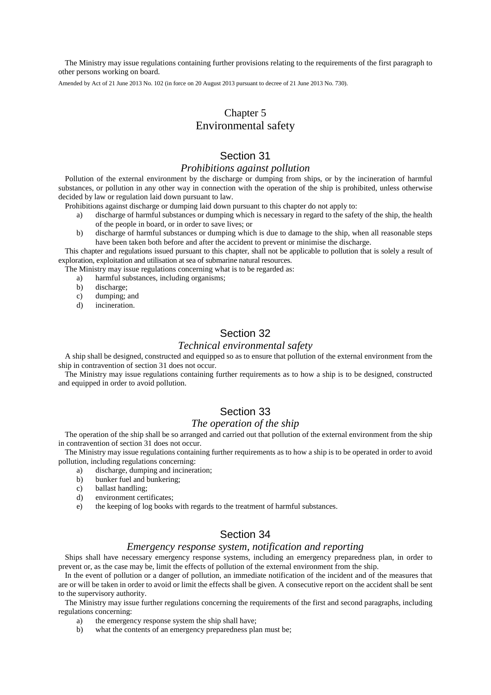The Ministry may issue regulations containing further provisions relating to the requirements of the first paragraph to other persons working on board.

Amended by Act of 21 June 2013 No. 102 (in force on 20 August 2013 pursuant to decree of 21 June 2013 No. 730).

# Chapter 5 Environmental safety

### Section 31

#### *Prohibitions against pollution*

Pollution of the external environment by the discharge or dumping from ships, or by the incineration of harmful substances, or pollution in any other way in connection with the operation of the ship is prohibited, unless otherwise decided by law or regulation laid down pursuant to law.

Prohibitions against discharge or dumping laid down pursuant to this chapter do not apply to:

- a) discharge of harmful substances or dumping which is necessary in regard to the safety of the ship, the health of the people in board, or in order to save lives; or
- b) discharge of harmful substances or dumping which is due to damage to the ship, when all reasonable steps have been taken both before and after the accident to prevent or minimise the discharge.

This chapter and regulations issued pursuant to this chapter, shall not be applicable to pollution that is solely a result of exploration, exploitation and utilisation at sea of submarine natural resources.

The Ministry may issue regulations concerning what is to be regarded as:

- a) harmful substances, including organisms;
- b) discharge;
- c) dumping; and
- d) incineration.

# Section 32

#### *Technical environmental safety*

A ship shall be designed, constructed and equipped so as to ensure that pollution of the external environment from the ship in contravention of section 31 does not occur.

The Ministry may issue regulations containing further requirements as to how a ship is to be designed, constructed and equipped in order to avoid pollution.

# Section 33

### *The operation of the ship*

The operation of the ship shall be so arranged and carried out that pollution of the external environment from the ship in contravention of section 31 does not occur.

The Ministry may issue regulations containing further requirements as to how a ship is to be operated in order to avoid pollution, including regulations concerning:

- a) discharge, dumping and incineration;
- b) bunker fuel and bunkering;
- c) ballast handling;
- d) environment certificates;
- e) the keeping of log books with regards to the treatment of harmful substances.

#### Section 34

#### *Emergency response system, notification and reporting*

Ships shall have necessary emergency response systems, including an emergency preparedness plan, in order to prevent or, as the case may be, limit the effects of pollution of the external environment from the ship.

In the event of pollution or a danger of pollution, an immediate notification of the incident and of the measures that are or will be taken in order to avoid or limit the effects shall be given. A consecutive report on the accident shall be sent to the supervisory authority.

The Ministry may issue further regulations concerning the requirements of the first and second paragraphs, including regulations concerning:

- a) the emergency response system the ship shall have;
- b) what the contents of an emergency preparedness plan must be;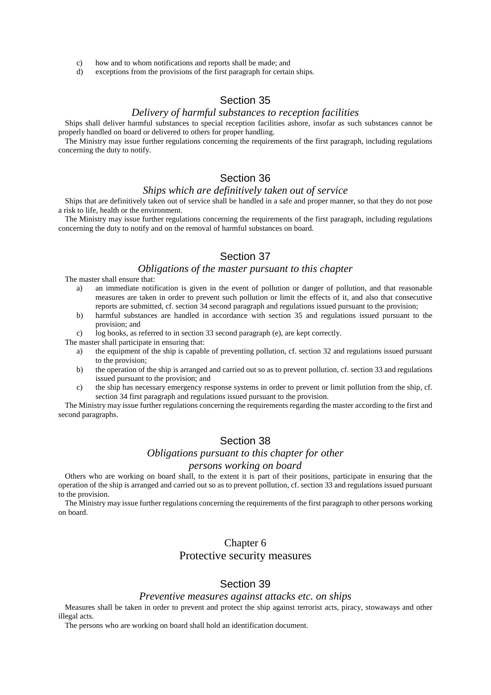- c) how and to whom notifications and reports shall be made; and
- d) exceptions from the provisions of the first paragraph for certain ships.

### Section 35

#### *Delivery of harmful substances to reception facilities*

Ships shall deliver harmful substances to special reception facilities ashore, insofar as such substances cannot be properly handled on board or delivered to others for proper handling.

The Ministry may issue further regulations concerning the requirements of the first paragraph, including regulations concerning the duty to notify.

# Section 36

### *Ships which are definitively taken out of service*

Ships that are definitively taken out of service shall be handled in a safe and proper manner, so that they do not pose a risk to life, health or the environment.

The Ministry may issue further regulations concerning the requirements of the first paragraph, including regulations concerning the duty to notify and on the removal of harmful substances on board.

#### Section 37

### *Obligations of the master pursuant to this chapter*

The master shall ensure that:

- a) an immediate notification is given in the event of pollution or danger of pollution, and that reasonable measures are taken in order to prevent such pollution or limit the effects of it, and also that consecutive reports are submitted, cf. section 34 second paragraph and regulations issued pursuant to the provision;
- b) harmful substances are handled in accordance with section 35 and regulations issued pursuant to the provision; and
- c) log books, as referred to in section 33 second paragraph (e), are kept correctly.

The master shall participate in ensuring that:

- a) the equipment of the ship is capable of preventing pollution, cf. section 32 and regulations issued pursuant to the provision;
- b) the operation of the ship is arranged and carried out so as to prevent pollution, cf. section 33 and regulations issued pursuant to the provision; and
- c) the ship has necessary emergency response systems in order to prevent or limit pollution from the ship, cf. section 34 first paragraph and regulations issued pursuant to the provision.

The Ministry may issue further regulations concerning the requirements regarding the master according to the first and second paragraphs.

### Section 38

### *Obligations pursuant to this chapter for other*

#### *persons working on board*

Others who are working on board shall, to the extent it is part of their positions, participate in ensuring that the operation of the ship is arranged and carried out so as to prevent pollution, cf. section 33 and regulations issued pursuant to the provision.

The Ministry may issue further regulations concerning the requirements of the first paragraph to other persons working on board.

#### Chapter 6

### Protective security measures

# Section 39

#### *Preventive measures against attacks etc. on ships*

Measures shall be taken in order to prevent and protect the ship against terrorist acts, piracy, stowaways and other illegal acts.

The persons who are working on board shall hold an identification document.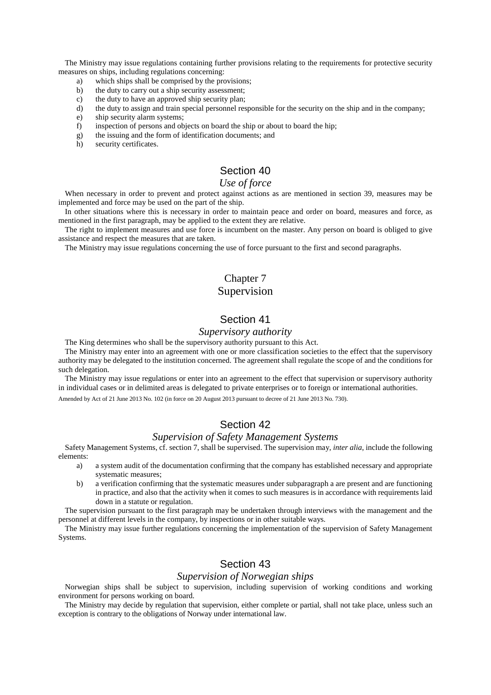The Ministry may issue regulations containing further provisions relating to the requirements for protective security measures on ships, including regulations concerning:

- a) which ships shall be comprised by the provisions;
- b) the duty to carry out a ship security assessment;
- c) the duty to have an approved ship security plan;
- d) the duty to assign and train special personnel responsible for the security on the ship and in the company;
- e) ship security alarm systems;
- f) inspection of persons and objects on board the ship or about to board the hip;
- g) the issuing and the form of identification documents; and
- h) security certificates.

### Section 40

### *Use of force*

When necessary in order to prevent and protect against actions as are mentioned in section 39, measures may be implemented and force may be used on the part of the ship.

In other situations where this is necessary in order to maintain peace and order on board, measures and force, as mentioned in the first paragraph, may be applied to the extent they are relative.

The right to implement measures and use force is incumbent on the master. Any person on board is obliged to give assistance and respect the measures that are taken.

The Ministry may issue regulations concerning the use of force pursuant to the first and second paragraphs.

# Chapter 7 Supervision

### Section 41

#### *Supervisory authority*

The King determines who shall be the supervisory authority pursuant to this Act.

The Ministry may enter into an agreement with one or more classification societies to the effect that the supervisory authority may be delegated to the institution concerned. The agreement shall regulate the scope of and the conditions for such delegation.

The Ministry may issue regulations or enter into an agreement to the effect that supervision or supervisory authority in individual cases or in delimited areas is delegated to private enterprises or to foreign or international authorities.

Amended by Act of 21 June 2013 No. 102 (in force on 20 August 2013 pursuant to decree of 21 June 2013 No. 730).

### Section 42

#### *Supervision of Safety Management Systems*

Safety Management Systems, cf. section 7, shall be supervised. The supervision may, *inter alia*, include the following elements:

- a) a system audit of the documentation confirming that the company has established necessary and appropriate systematic measures;
- b) a verification confirming that the systematic measures under subparagraph a are present and are functioning in practice, and also that the activity when it comes to such measures is in accordance with requirements laid down in a statute or regulation.

The supervision pursuant to the first paragraph may be undertaken through interviews with the management and the personnel at different levels in the company, by inspections or in other suitable ways.

The Ministry may issue further regulations concerning the implementation of the supervision of Safety Management Systems.

## Section 43

#### *Supervision of Norwegian ships*

Norwegian ships shall be subject to supervision, including supervision of working conditions and working environment for persons working on board.

The Ministry may decide by regulation that supervision, either complete or partial, shall not take place, unless such an exception is contrary to the obligations of Norway under international law.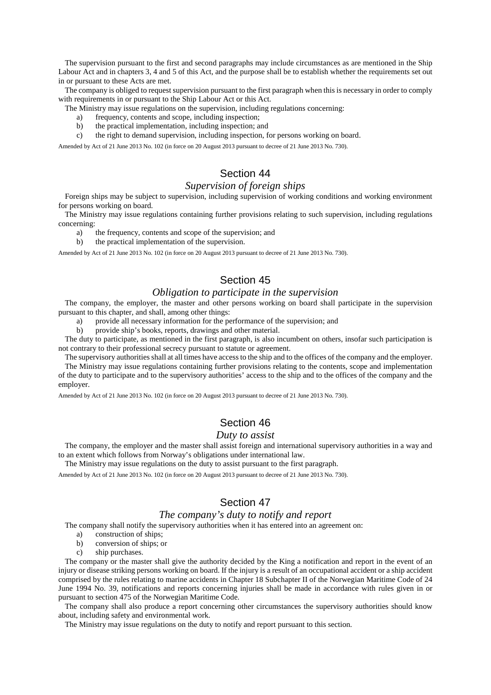The supervision pursuant to the first and second paragraphs may include circumstances as are mentioned in the Ship Labour Act and in chapters 3, 4 and 5 of this Act, and the purpose shall be to establish whether the requirements set out in or pursuant to these Acts are met.

The company is obliged to request supervision pursuant to the first paragraph when this is necessary in order to comply with requirements in or pursuant to the Ship Labour Act or this Act.

The Ministry may issue regulations on the supervision, including regulations concerning:

- a) frequency, contents and scope, including inspection;
- b) the practical implementation, including inspection; and
- c) the right to demand supervision, including inspection, for persons working on board.

Amended by Act of 21 June 2013 No. 102 (in force on 20 August 2013 pursuant to decree of 21 June 2013 No. 730).

### Section 44

#### *Supervision of foreign ships*

Foreign ships may be subject to supervision, including supervision of working conditions and working environment for persons working on board.

The Ministry may issue regulations containing further provisions relating to such supervision, including regulations concerning:

- a) the frequency, contents and scope of the supervision; and
- b) the practical implementation of the supervision.

Amended by Act of 21 June 2013 No. 102 (in force on 20 August 2013 pursuant to decree of 21 June 2013 No. 730).

### Section 45

### *Obligation to participate in the supervision*

The company, the employer, the master and other persons working on board shall participate in the supervision pursuant to this chapter, and shall, among other things:

a) provide all necessary information for the performance of the supervision; and

b) provide ship's books, reports, drawings and other material.

The duty to participate, as mentioned in the first paragraph, is also incumbent on others, insofar such participation is not contrary to their professional secrecy pursuant to statute or agreement.

The supervisory authorities shall at all times have access to the ship and to the offices of the company and the employer.

The Ministry may issue regulations containing further provisions relating to the contents, scope and implementation of the duty to participate and to the supervisory authorities' access to the ship and to the offices of the company and the employer.

Amended by Act of 21 June 2013 No. 102 (in force on 20 August 2013 pursuant to decree of 21 June 2013 No. 730).

### Section 46

#### *Duty to assist*

The company, the employer and the master shall assist foreign and international supervisory authorities in a way and to an extent which follows from Norway's obligations under international law.

The Ministry may issue regulations on the duty to assist pursuant to the first paragraph.

Amended by Act of 21 June 2013 No. 102 (in force on 20 August 2013 pursuant to decree of 21 June 2013 No. 730).

# Section 47

### *The company's duty to notify and report*

The company shall notify the supervisory authorities when it has entered into an agreement on:

- a) construction of ships;
- b) conversion of ships; or
- c) ship purchases.

The company or the master shall give the authority decided by the King a notification and report in the event of an injury or disease striking persons working on board. If the injury is a result of an occupational accident or a ship accident comprised by the rules relating to marine accidents in Chapter 18 Subchapter II of the Norwegian Maritime Code of 24 June 1994 No. 39, notifications and reports concerning injuries shall be made in accordance with rules given in or pursuant to section 475 of the Norwegian Maritime Code.

The company shall also produce a report concerning other circumstances the supervisory authorities should know about, including safety and environmental work.

The Ministry may issue regulations on the duty to notify and report pursuant to this section.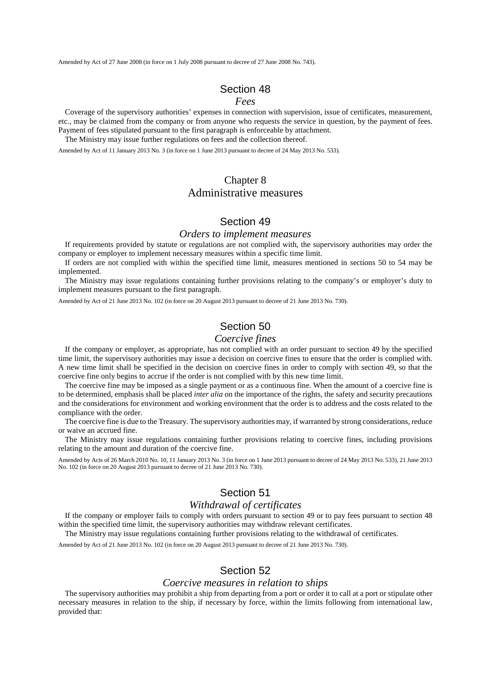Amended by Act of 27 June 2008 (in force on 1 July 2008 pursuant to decree of 27 June 2008 No. 743).

### Section 48

#### *Fees*

Coverage of the supervisory authorities' expenses in connection with supervision, issue of certificates, measurement, etc., may be claimed from the company or from anyone who requests the service in question, by the payment of fees. Payment of fees stipulated pursuant to the first paragraph is enforceable by attachment.

The Ministry may issue further regulations on fees and the collection thereof.

Amended by Act of 11 January 2013 No. 3 (in force on 1 June 2013 pursuant to decree of 24 May 2013 No. 533).

# Chapter 8 Administrative measures

### Section 49

#### *Orders to implement measures*

If requirements provided by statute or regulations are not complied with, the supervisory authorities may order the company or employer to implement necessary measures within a specific time limit.

If orders are not complied with within the specified time limit, measures mentioned in sections 50 to 54 may be implemented.

The Ministry may issue regulations containing further provisions relating to the company's or employer's duty to implement measures pursuant to the first paragraph.

Amended by Act of 21 June 2013 No. 102 (in force on 20 August 2013 pursuant to decree of 21 June 2013 No. 730).

# Section 50

### *Coercive fines*

If the company or employer, as appropriate, has not complied with an order pursuant to section 49 by the specified time limit, the supervisory authorities may issue a decision on coercive fines to ensure that the order is complied with. A new time limit shall be specified in the decision on coercive fines in order to comply with section 49, so that the coercive fine only begins to accrue if the order is not complied with by this new time limit.

The coercive fine may be imposed as a single payment or as a continuous fine. When the amount of a coercive fine is to be determined, emphasis shall be placed *inter alia* on the importance of the rights, the safety and security precautions and the considerations for environment and working environment that the order is to address and the costs related to the compliance with the order.

The coercive fine is due to the Treasury. The supervisory authorities may, if warranted by strong considerations, reduce or waive an accrued fine.

The Ministry may issue regulations containing further provisions relating to coercive fines, including provisions relating to the amount and duration of the coercive fine.

Amended by Acts of 26 March 2010 No. 10, 11 January 2013 No. 3 (in force on 1 June 2013 pursuant to decree of 24 May 2013 No. 533), 21 June 2013 No. 102 (in force on 20 August 2013 pursuant to decree of 21 June 2013 No. 730).

### Section 51

#### *Withdrawal of certificates*

If the company or employer fails to comply with orders pursuant to section 49 or to pay fees pursuant to section 48 within the specified time limit, the supervisory authorities may withdraw relevant certificates.

The Ministry may issue regulations containing further provisions relating to the withdrawal of certificates.

Amended by Act of 21 June 2013 No. 102 (in force on 20 August 2013 pursuant to decree of 21 June 2013 No. 730).

#### Section 52

#### *Coercive measures in relation to ships*

The supervisory authorities may prohibit a ship from departing from a port or order it to call at a port or stipulate other necessary measures in relation to the ship, if necessary by force, within the limits following from international law, provided that: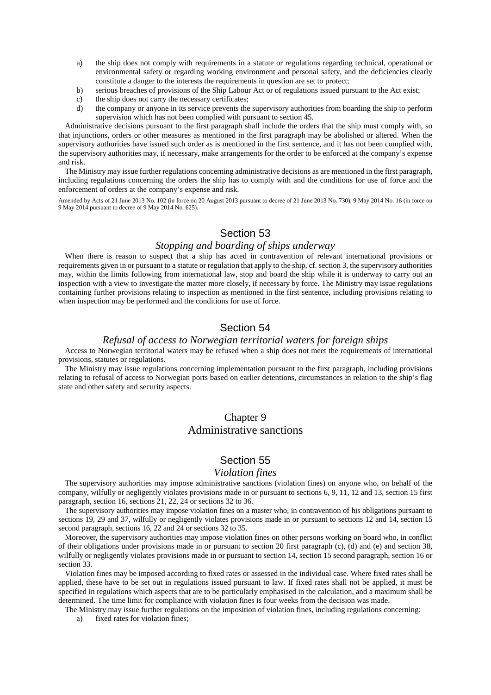- a) the ship does not comply with requirements in a statute or regulations regarding technical, operational or environmental safety or regarding working environment and personal safety, and the deficiencies clearly constitute a danger to the interests the requirements in question are set to protect;
- b) serious breaches of provisions of the Ship Labour Act or of regulations issued pursuant to the Act exist;
- c) the ship does not carry the necessary certificates;
- d) the company or anyone in its service prevents the supervisory authorities from boarding the ship to perform supervision which has not been complied with pursuant to section 45.

Administrative decisions pursuant to the first paragraph shall include the orders that the ship must comply with, so that injunctions, orders or other measures as mentioned in the first paragraph may be abolished or altered. When the supervisory authorities have issued such order as is mentioned in the first sentence, and it has not been complied with, the supervisory authorities may, if necessary, make arrangements for the order to be enforced at the company's expense and risk.

The Ministry may issue further regulations concerning administrative decisions as are mentioned in the first paragraph, including regulations concerning the orders the ship has to comply with and the conditions for use of force and the enforcement of orders at the company's expense and risk.

Amended by Acts of 21 June 2013 No. 102 (in force on 20 August 2013 pursuant to decree of 21 June 2013 No. 730), 9 May 2014 No. 16 (in force on 9 May 2014 pursuant to decree of 9 May 2014 No. 625).

# Section 53

#### *Stopping and boarding of ships underway*

When there is reason to suspect that a ship has acted in contravention of relevant international provisions or requirements given in or pursuant to a statute or regulation that apply to the ship, cf. section 3, the supervisory authorities may, within the limits following from international law, stop and board the ship while it is underway to carry out an inspection with a view to investigate the matter more closely, if necessary by force. The Ministry may issue regulations containing further provisions relating to inspection as mentioned in the first sentence, including provisions relating to when inspection may be performed and the conditions for use of force.

### Section 54

#### *Refusal of access to Norwegian territorial waters for foreign ships*

Access to Norwegian territorial waters may be refused when a ship does not meet the requirements of international provisions, statutes or regulations.

The Ministry may issue regulations concerning implementation pursuant to the first paragraph, including provisions relating to refusal of access to Norwegian ports based on earlier detentions, circumstances in relation to the ship's flag state and other safety and security aspects.

# Chapter 9 Administrative sanctions

### Section 55

#### *Violation fines*

The supervisory authorities may impose administrative sanctions (violation fines) on anyone who, on behalf of the company, wilfully or negligently violates provisions made in or pursuant to sections 6, 9, 11, 12 and 13, section 15 first paragraph, section 16, sections 21, 22, 24 or sections 32 to 36.

The supervisory authorities may impose violation fines on a master who, in contravention of his obligations pursuant to sections 19, 29 and 37, wilfully or negligently violates provisions made in or pursuant to sections 12 and 14, section 15 second paragraph, sections 16, 22 and 24 or sections 32 to 35.

Moreover, the supervisory authorities may impose violation fines on other persons working on board who, in conflict of their obligations under provisions made in or pursuant to section 20 first paragraph (c), (d) and (e) and section 38, wilfully or negligently violates provisions made in or pursuant to section 14, section 15 second paragraph, section 16 or section 33.

Violation fines may be imposed according to fixed rates or assessed in the individual case. Where fixed rates shall be applied, these have to be set out in regulations issued pursuant to law. If fixed rates shall not be applied, it must be specified in regulations which aspects that are to be particularly emphasised in the calculation, and a maximum shall be determined. The time limit for compliance with violation fines is four weeks from the decision was made.

The Ministry may issue further regulations on the imposition of violation fines, including regulations concerning:

a) fixed rates for violation fines;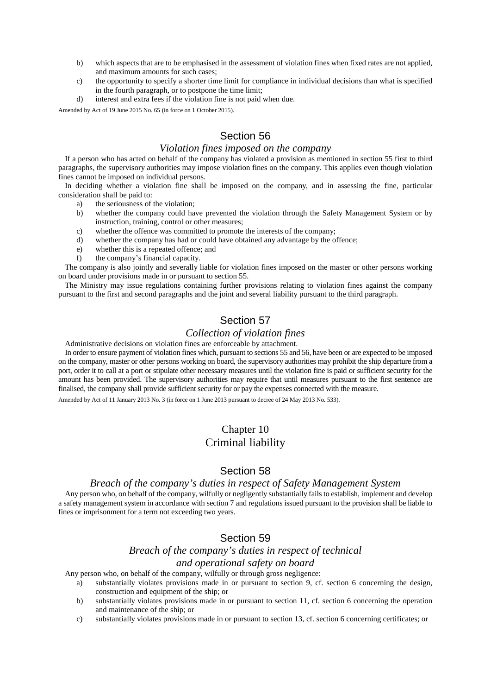- b) which aspects that are to be emphasised in the assessment of violation fines when fixed rates are not applied, and maximum amounts for such cases;
- c) the opportunity to specify a shorter time limit for compliance in individual decisions than what is specified in the fourth paragraph, or to postpone the time limit;
- d) interest and extra fees if the violation fine is not paid when due.

Amended by Act of 19 June 2015 No. 65 (in force on 1 October 2015).

# Section 56

#### *Violation fines imposed on the company*

If a person who has acted on behalf of the company has violated a provision as mentioned in section 55 first to third paragraphs, the supervisory authorities may impose violation fines on the company. This applies even though violation fines cannot be imposed on individual persons.

In deciding whether a violation fine shall be imposed on the company, and in assessing the fine, particular consideration shall be paid to:

- a) the seriousness of the violation;
- b) whether the company could have prevented the violation through the Safety Management System or by instruction, training, control or other measures;
- c) whether the offence was committed to promote the interests of the company;
- d) whether the company has had or could have obtained any advantage by the offence;
- e) whether this is a repeated offence; and
- f) the company's financial capacity.

The company is also jointly and severally liable for violation fines imposed on the master or other persons working on board under provisions made in or pursuant to section 55.

The Ministry may issue regulations containing further provisions relating to violation fines against the company pursuant to the first and second paragraphs and the joint and several liability pursuant to the third paragraph.

# Section 57

#### *Collection of violation fines*

Administrative decisions on violation fines are enforceable by attachment.

In order to ensure payment of violation fines which, pursuant to sections 55 and 56, have been or are expected to be imposed on the company, master or other persons working on board, the supervisory authorities may prohibit the ship departure from a port, order it to call at a port or stipulate other necessary measures until the violation fine is paid or sufficient security for the amount has been provided. The supervisory authorities may require that until measures pursuant to the first sentence are finalised, the company shall provide sufficient security for or pay the expenses connected with the measure.

Amended by Act of 11 January 2013 No. 3 (in force on 1 June 2013 pursuant to decree of 24 May 2013 No. 533).

# Chapter 10 Criminal liability

### Section 58

#### *Breach of the company's duties in respect of Safety Management System*

Any person who, on behalf of the company, wilfully or negligently substantially fails to establish, implement and develop a safety management system in accordance with section 7 and regulations issued pursuant to the provision shall be liable to fines or imprisonment for a term not exceeding two years.

### Section 59

# *Breach of the company's duties in respect of technical*

# *and operational safety on board*

Any person who, on behalf of the company, wilfully or through gross negligence:

- a) substantially violates provisions made in or pursuant to section 9, cf. section 6 concerning the design, construction and equipment of the ship; or
- b) substantially violates provisions made in or pursuant to section 11, cf. section 6 concerning the operation and maintenance of the ship; or
- c) substantially violates provisions made in or pursuant to section 13, cf. section 6 concerning certificates; or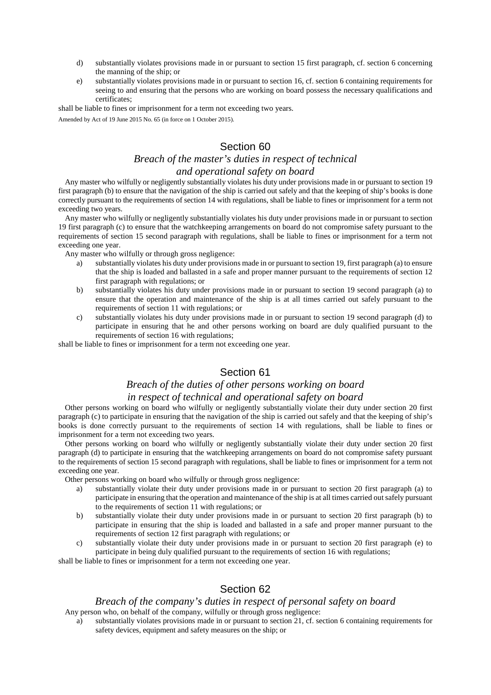- d) substantially violates provisions made in or pursuant to section 15 first paragraph, cf. section 6 concerning the manning of the ship; or
- e) substantially violates provisions made in or pursuant to section 16, cf. section 6 containing requirements for seeing to and ensuring that the persons who are working on board possess the necessary qualifications and certificates;

shall be liable to fines or imprisonment for a term not exceeding two years.

Amended by Act of 19 June 2015 No. 65 (in force on 1 October 2015).

### Section 60

# *Breach of the master's duties in respect of technical*

### *and operational safety on board*

Any master who wilfully or negligently substantially violates his duty under provisions made in or pursuant to section 19 first paragraph (b) to ensure that the navigation of the ship is carried out safely and that the keeping of ship's books is done correctly pursuant to the requirements of section 14 with regulations, shall be liable to fines or imprisonment for a term not exceeding two years.

Any master who wilfully or negligently substantially violates his duty under provisions made in or pursuant to section 19 first paragraph (c) to ensure that the watchkeeping arrangements on board do not compromise safety pursuant to the requirements of section 15 second paragraph with regulations, shall be liable to fines or imprisonment for a term not exceeding one year.

Any master who wilfully or through gross negligence:

- substantially violates his duty under provisions made in or pursuant to section 19, first paragraph (a) to ensure that the ship is loaded and ballasted in a safe and proper manner pursuant to the requirements of section 12 first paragraph with regulations; or
- b) substantially violates his duty under provisions made in or pursuant to section 19 second paragraph (a) to ensure that the operation and maintenance of the ship is at all times carried out safely pursuant to the requirements of section 11 with regulations; or
- c) substantially violates his duty under provisions made in or pursuant to section 19 second paragraph (d) to participate in ensuring that he and other persons working on board are duly qualified pursuant to the requirements of section 16 with regulations;

shall be liable to fines or imprisonment for a term not exceeding one year.

# Section 61

### *Breach of the duties of other persons working on board in respect of technical and operational safety on board*

Other persons working on board who wilfully or negligently substantially violate their duty under section 20 first paragraph (c) to participate in ensuring that the navigation of the ship is carried out safely and that the keeping of ship's books is done correctly pursuant to the requirements of section 14 with regulations, shall be liable to fines or imprisonment for a term not exceeding two years.

Other persons working on board who wilfully or negligently substantially violate their duty under section 20 first paragraph (d) to participate in ensuring that the watchkeeping arrangements on board do not compromise safety pursuant to the requirements of section 15 second paragraph with regulations, shall be liable to fines or imprisonment for a term not exceeding one year.

Other persons working on board who wilfully or through gross negligence:

- a) substantially violate their duty under provisions made in or pursuant to section 20 first paragraph (a) to participate in ensuring that the operation and maintenance of the ship is at all times carried out safely pursuant to the requirements of section 11 with regulations; or
- b) substantially violate their duty under provisions made in or pursuant to section 20 first paragraph (b) to participate in ensuring that the ship is loaded and ballasted in a safe and proper manner pursuant to the requirements of section 12 first paragraph with regulations; or
- c) substantially violate their duty under provisions made in or pursuant to section 20 first paragraph (e) to participate in being duly qualified pursuant to the requirements of section 16 with regulations;

shall be liable to fines or imprisonment for a term not exceeding one year.

# Section 62

#### *Breach of the company's duties in respect of personal safety on board*

Any person who, on behalf of the company, wilfully or through gross negligence:

a) substantially violates provisions made in or pursuant to section 21, cf. section 6 containing requirements for safety devices, equipment and safety measures on the ship; or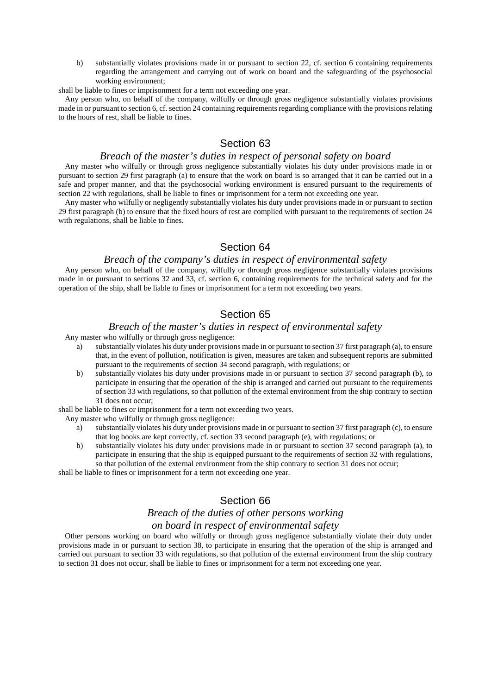b) substantially violates provisions made in or pursuant to section 22, cf. section 6 containing requirements regarding the arrangement and carrying out of work on board and the safeguarding of the psychosocial working environment;

shall be liable to fines or imprisonment for a term not exceeding one year.

Any person who, on behalf of the company, wilfully or through gross negligence substantially violates provisions made in or pursuant to section 6, cf. section 24 containing requirements regarding compliance with the provisions relating to the hours of rest, shall be liable to fines.

## Section 63

#### *Breach of the master's duties in respect of personal safety on board*

Any master who wilfully or through gross negligence substantially violates his duty under provisions made in or pursuant to section 29 first paragraph (a) to ensure that the work on board is so arranged that it can be carried out in a safe and proper manner, and that the psychosocial working environment is ensured pursuant to the requirements of section 22 with regulations, shall be liable to fines or imprisonment for a term not exceeding one year.

Any master who wilfully or negligently substantially violates his duty under provisions made in or pursuant to section 29 first paragraph (b) to ensure that the fixed hours of rest are complied with pursuant to the requirements of section 24 with regulations, shall be liable to fines.

### Section 64

#### *Breach of the company's duties in respect of environmental safety*

Any person who, on behalf of the company, wilfully or through gross negligence substantially violates provisions made in or pursuant to sections 32 and 33, cf. section 6, containing requirements for the technical safety and for the operation of the ship, shall be liable to fines or imprisonment for a term not exceeding two years.

### Section 65

#### *Breach of the master's duties in respect of environmental safety*

Any master who wilfully or through gross negligence:

- a) substantially violates his duty under provisions made in or pursuant to section 37 first paragraph (a), to ensure that, in the event of pollution, notification is given, measures are taken and subsequent reports are submitted pursuant to the requirements of section 34 second paragraph, with regulations; or
- b) substantially violates his duty under provisions made in or pursuant to section 37 second paragraph (b), to participate in ensuring that the operation of the ship is arranged and carried out pursuant to the requirements of section 33 with regulations, so that pollution of the external environment from the ship contrary to section 31 does not occur;

shall be liable to fines or imprisonment for a term not exceeding two years.

Any master who wilfully or through gross negligence:

- a) substantially violates his duty under provisions made in or pursuant to section 37 first paragraph (c), to ensure that log books are kept correctly, cf. section 33 second paragraph (e), with regulations; or
- b) substantially violates his duty under provisions made in or pursuant to section 37 second paragraph (a), to participate in ensuring that the ship is equipped pursuant to the requirements of section 32 with regulations, so that pollution of the external environment from the ship contrary to section 31 does not occur;

shall be liable to fines or imprisonment for a term not exceeding one year.

## Section 66

### *Breach of the duties of other persons working on board in respect of environmental safety*

Other persons working on board who wilfully or through gross negligence substantially violate their duty under provisions made in or pursuant to section 38, to participate in ensuring that the operation of the ship is arranged and carried out pursuant to section 33 with regulations, so that pollution of the external environment from the ship contrary to section 31 does not occur, shall be liable to fines or imprisonment for a term not exceeding one year.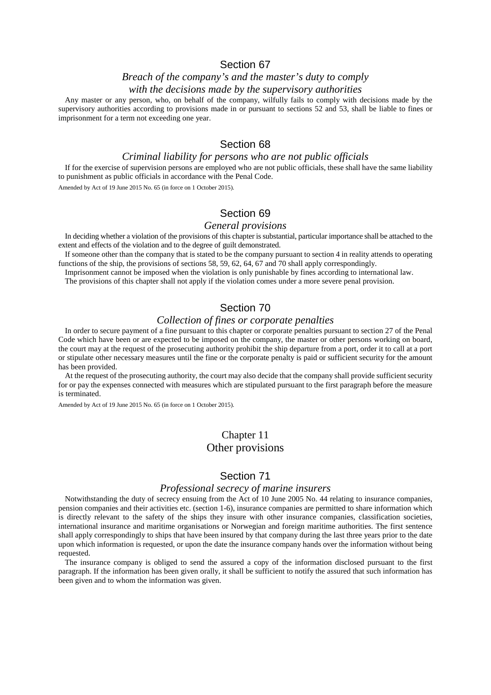### Section 67

# *Breach of the company's and the master's duty to comply*

#### *with the decisions made by the supervisory authorities*

Any master or any person, who, on behalf of the company, wilfully fails to comply with decisions made by the supervisory authorities according to provisions made in or pursuant to sections 52 and 53, shall be liable to fines or imprisonment for a term not exceeding one year.

# Section 68

#### *Criminal liability for persons who are not public officials*

If for the exercise of supervision persons are employed who are not public officials, these shall have the same liability to punishment as public officials in accordance with the Penal Code.

Amended by Act of 19 June 2015 No. 65 (in force on 1 October 2015).

## Section 69

#### *General provisions*

In deciding whether a violation of the provisions of this chapter is substantial, particular importance shall be attached to the extent and effects of the violation and to the degree of guilt demonstrated.

If someone other than the company that is stated to be the company pursuant to section 4 in reality attends to operating functions of the ship, the provisions of sections 58, 59, 62, 64, 67 and 70 shall apply correspondingly.

Imprisonment cannot be imposed when the violation is only punishable by fines according to international law.

The provisions of this chapter shall not apply if the violation comes under a more severe penal provision.

# Section 70

### *Collection of fines or corporate penalties*

In order to secure payment of a fine pursuant to this chapter or corporate penalties pursuant to section 27 of the Penal Code which have been or are expected to be imposed on the company, the master or other persons working on board, the court may at the request of the prosecuting authority prohibit the ship departure from a port, order it to call at a port or stipulate other necessary measures until the fine or the corporate penalty is paid or sufficient security for the amount has been provided.

At the request of the prosecuting authority, the court may also decide that the company shall provide sufficient security for or pay the expenses connected with measures which are stipulated pursuant to the first paragraph before the measure is terminated.

Amended by Act of 19 June 2015 No. 65 (in force on 1 October 2015).

# Chapter 11 Other provisions

### Section 71

#### *Professional secrecy of marine insurers*

Notwithstanding the duty of secrecy ensuing from the Act of 10 June 2005 No. 44 relating to insurance companies, pension companies and their activities etc. (section 1-6), insurance companies are permitted to share information which is directly relevant to the safety of the ships they insure with other insurance companies, classification societies, international insurance and maritime organisations or Norwegian and foreign maritime authorities. The first sentence shall apply correspondingly to ships that have been insured by that company during the last three years prior to the date upon which information is requested, or upon the date the insurance company hands over the information without being requested.

The insurance company is obliged to send the assured a copy of the information disclosed pursuant to the first paragraph. If the information has been given orally, it shall be sufficient to notify the assured that such information has been given and to whom the information was given.